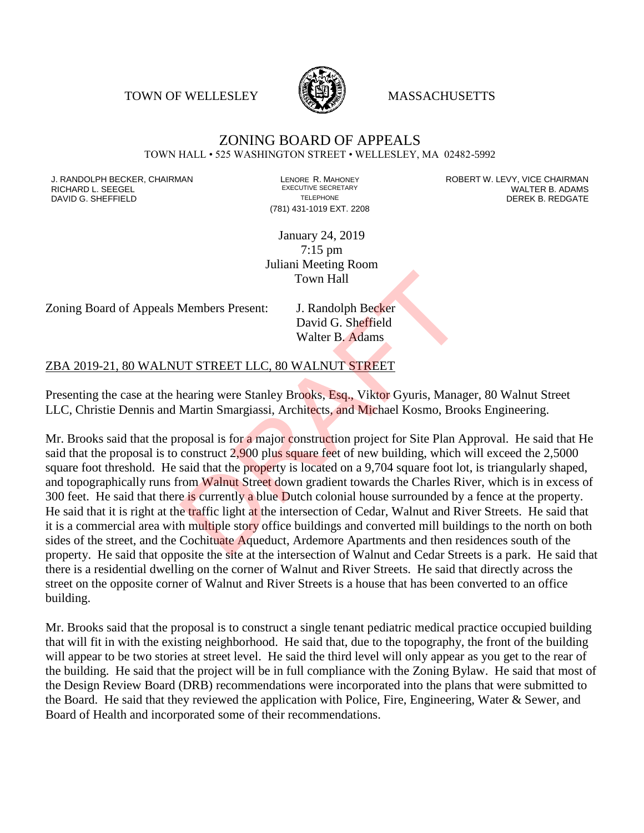TOWN OF WELLESLEY **WASSACHUSETTS** 



## ZONING BOARD OF APPEALS TOWN HALL • 525 WASHINGTON STREET • WELLESLEY, MA 02482-5992

RICHARD L. SEEGEL<br>
DAVID G. SHEFFIFI D DAVID G. SHEFFIELD **TELEPHONE** TELEPHONE TELEPHONE **TELEPHONE DEREK B. REDGATE** 

(781) 431-1019 EXT. 2208

J. RANDOLPH BECKER, CHAIRMAN LENORE R. MAHONEY ROBERT W. LEVY, VICE CHAIRMAN

January 24, 2019 7:15 pm Juliani Meeting Room Town Hall

Zoning Board of Appeals Members Present: J. Randolph Becker

David G. Sheffield Walter B. Adams

## ZBA 2019-21, 80 WALNUT STREET LLC, 80 WALNUT STREET

Presenting the case at the hearing were Stanley Brooks, Esq., Viktor Gyuris, Manager, 80 Walnut Street LLC, Christie Dennis and Martin Smargiassi, Architects, and Michael Kosmo, Brooks Engineering.

Mr. Brooks said that the proposal is for a major construction project for Site Plan Approval. He said that He said that the proposal is to construct 2,900 plus square feet of new building, which will exceed the 2,5000 square foot threshold. He said that the property is located on a 9,704 square foot lot, is triangularly shaped, and topographically runs from Walnut Street down gradient towards the Charles River, which is in excess of 300 feet. He said that there is currently a blue Dutch colonial house surrounded by a fence at the property. He said that it is right at the traffic light at the intersection of Cedar, Walnut and River Streets. He said that it is a commercial area with multiple story office buildings and converted mill buildings to the north on both sides of the street, and the Cochituate Aqueduct, Ardemore Apartments and then residences south of the property. He said that opposite the site at the intersection of Walnut and Cedar Streets is a park. He said that there is a residential dwelling on the corner of Walnut and River Streets. He said that directly across the street on the opposite corner of Walnut and River Streets is a house that has been converted to an office building. Town Hall<br>Members Present: J. Randolph Becker<br>David G. Sheffield<br>Walter B. Adams<br>Dr STREET LLC, 80 WALNUT STREET<br>nearing were Stanley Brooks, Esq., Viktor Gyuris, Manag<br>Martin Smargiassi, Architects, and Michael Kosmo, Bro

Mr. Brooks said that the proposal is to construct a single tenant pediatric medical practice occupied building that will fit in with the existing neighborhood. He said that, due to the topography, the front of the building will appear to be two stories at street level. He said the third level will only appear as you get to the rear of the building. He said that the project will be in full compliance with the Zoning Bylaw. He said that most of the Design Review Board (DRB) recommendations were incorporated into the plans that were submitted to the Board. He said that they reviewed the application with Police, Fire, Engineering, Water & Sewer, and Board of Health and incorporated some of their recommendations.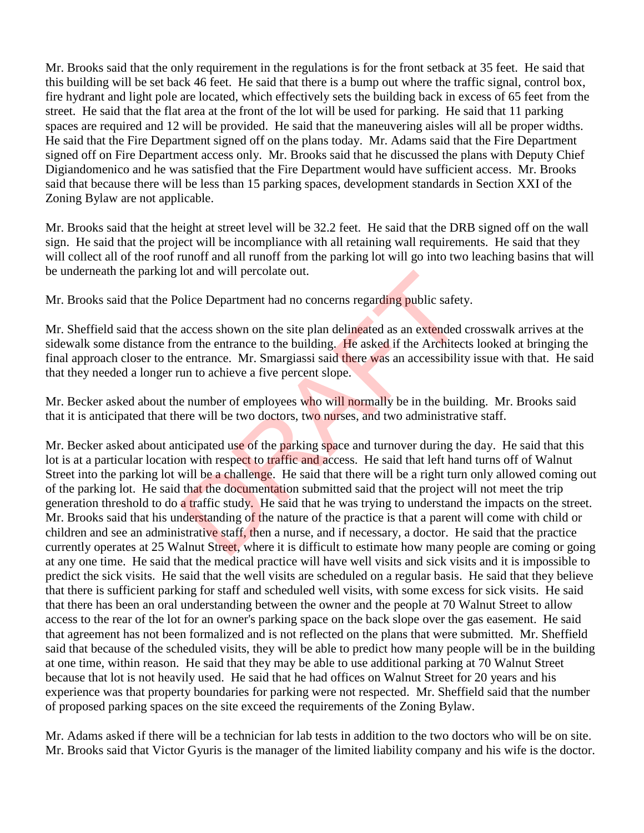Mr. Brooks said that the only requirement in the regulations is for the front setback at 35 feet. He said that this building will be set back 46 feet. He said that there is a bump out where the traffic signal, control box, fire hydrant and light pole are located, which effectively sets the building back in excess of 65 feet from the street. He said that the flat area at the front of the lot will be used for parking. He said that 11 parking spaces are required and 12 will be provided. He said that the maneuvering aisles will all be proper widths. He said that the Fire Department signed off on the plans today. Mr. Adams said that the Fire Department signed off on Fire Department access only. Mr. Brooks said that he discussed the plans with Deputy Chief Digiandomenico and he was satisfied that the Fire Department would have sufficient access. Mr. Brooks said that because there will be less than 15 parking spaces, development standards in Section XXI of the Zoning Bylaw are not applicable.

Mr. Brooks said that the height at street level will be 32.2 feet. He said that the DRB signed off on the wall sign. He said that the project will be incompliance with all retaining wall requirements. He said that they will collect all of the roof runoff and all runoff from the parking lot will go into two leaching basins that will be underneath the parking lot and will percolate out.

Mr. Brooks said that the Police Department had no concerns regarding public safety.

Mr. Sheffield said that the access shown on the site plan delineated as an extended crosswalk arrives at the sidewalk some distance from the entrance to the building. He asked if the Architects looked at bringing the final approach closer to the entrance. Mr. Smargiassi said there was an accessibility issue with that. He said that they needed a longer run to achieve a five percent slope.

Mr. Becker asked about the number of employees who will normally be in the building. Mr. Brooks said that it is anticipated that there will be two doctors, two nurses, and two administrative staff.

Mr. Becker asked about anticipated use of the parking space and turnover during the day. He said that this lot is at a particular location with respect to traffic and access. He said that left hand turns off of Walnut Street into the parking lot will be a challenge. He said that there will be a right turn only allowed coming out of the parking lot. He said that the documentation submitted said that the project will not meet the trip generation threshold to do a traffic study. He said that he was trying to understand the impacts on the street. Mr. Brooks said that his understanding of the nature of the practice is that a parent will come with child or children and see an administrative staff, then a nurse, and if necessary, a doctor. He said that the practice currently operates at 25 Walnut Street, where it is difficult to estimate how many people are coming or going at any one time. He said that the medical practice will have well visits and sick visits and it is impossible to predict the sick visits. He said that the well visits are scheduled on a regular basis. He said that they believe that there is sufficient parking for staff and scheduled well visits, with some excess for sick visits. He said that there has been an oral understanding between the owner and the people at 70 Walnut Street to allow access to the rear of the lot for an owner's parking space on the back slope over the gas easement. He said that agreement has not been formalized and is not reflected on the plans that were submitted. Mr. Sheffield said that because of the scheduled visits, they will be able to predict how many people will be in the building at one time, within reason. He said that they may be able to use additional parking at 70 Walnut Street because that lot is not heavily used. He said that he had offices on Walnut Street for 20 years and his experience was that property boundaries for parking were not respected. Mr. Sheffield said that the number of proposed parking spaces on the site exceed the requirements of the Zoning Bylaw. for and will percolate out.<br>
blice Department had no concerns regarding public safety<br>
access shown on the site plan delineated as an extended<br>
om the entrance to the building. He asked if the Architec<br>
e entrance. Mr. Sma

Mr. Adams asked if there will be a technician for lab tests in addition to the two doctors who will be on site. Mr. Brooks said that Victor Gyuris is the manager of the limited liability company and his wife is the doctor.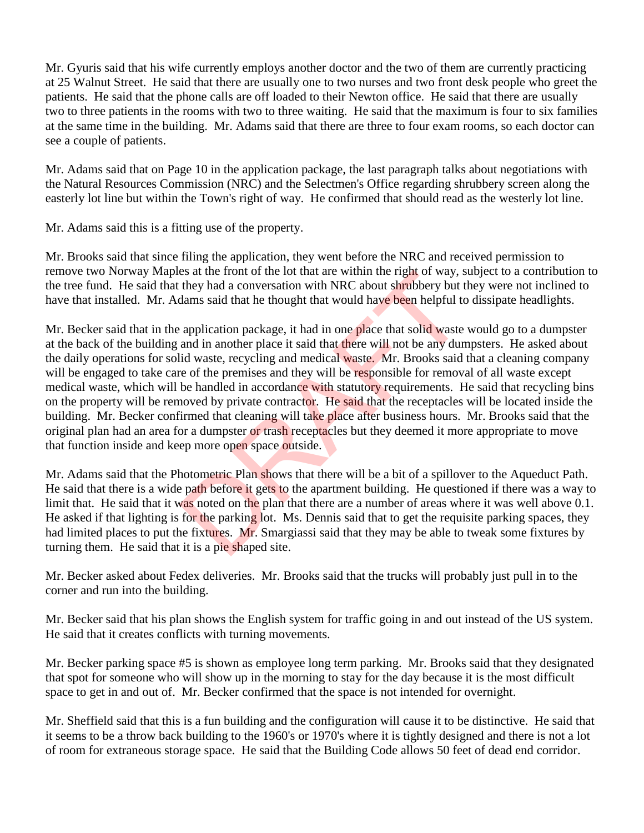Mr. Gyuris said that his wife currently employs another doctor and the two of them are currently practicing at 25 Walnut Street. He said that there are usually one to two nurses and two front desk people who greet the patients. He said that the phone calls are off loaded to their Newton office. He said that there are usually two to three patients in the rooms with two to three waiting. He said that the maximum is four to six families at the same time in the building. Mr. Adams said that there are three to four exam rooms, so each doctor can see a couple of patients.

Mr. Adams said that on Page 10 in the application package, the last paragraph talks about negotiations with the Natural Resources Commission (NRC) and the Selectmen's Office regarding shrubbery screen along the easterly lot line but within the Town's right of way. He confirmed that should read as the westerly lot line.

Mr. Adams said this is a fitting use of the property.

Mr. Brooks said that since filing the application, they went before the NRC and received permission to remove two Norway Maples at the front of the lot that are within the right of way, subject to a contribution to the tree fund. He said that they had a conversation with NRC about shrubbery but they were not inclined to have that installed. Mr. Adams said that he thought that would have been helpful to dissipate headlights.

Mr. Becker said that in the application package, it had in one place that solid waste would go to a dumpster at the back of the building and in another place it said that there will not be any dumpsters. He asked about the daily operations for solid waste, recycling and medical waste. Mr. Brooks said that a cleaning company will be engaged to take care of the premises and they will be responsible for removal of all waste except medical waste, which will be handled in accordance with statutory requirements. He said that recycling bins on the property will be removed by private contractor. He said that the receptacles will be located inside the building. Mr. Becker confirmed that cleaning will take place after business hours. Mr. Brooks said that the original plan had an area for a dumpster or trash receptacles but they deemed it more appropriate to move that function inside and keep more open space outside. es at the front of the lot that are within the right of way, s<br>they had a conversation with NRC about shrubbery but t<br>dams said that he thought that would have been helpful to<br>application package, it had in one place that

Mr. Adams said that the Photometric Plan shows that there will be a bit of a spillover to the Aqueduct Path. He said that there is a wide path before it gets to the apartment building. He questioned if there was a way to limit that. He said that it was noted on the plan that there are a number of areas where it was well above 0.1. He asked if that lighting is for the parking lot. Ms. Dennis said that to get the requisite parking spaces, they had limited places to put the fixtures. Mr. Smargiassi said that they may be able to tweak some fixtures by turning them. He said that it is a pie shaped site.

Mr. Becker asked about Fedex deliveries. Mr. Brooks said that the trucks will probably just pull in to the corner and run into the building.

Mr. Becker said that his plan shows the English system for traffic going in and out instead of the US system. He said that it creates conflicts with turning movements.

Mr. Becker parking space #5 is shown as employee long term parking. Mr. Brooks said that they designated that spot for someone who will show up in the morning to stay for the day because it is the most difficult space to get in and out of. Mr. Becker confirmed that the space is not intended for overnight.

Mr. Sheffield said that this is a fun building and the configuration will cause it to be distinctive. He said that it seems to be a throw back building to the 1960's or 1970's where it is tightly designed and there is not a lot of room for extraneous storage space. He said that the Building Code allows 50 feet of dead end corridor.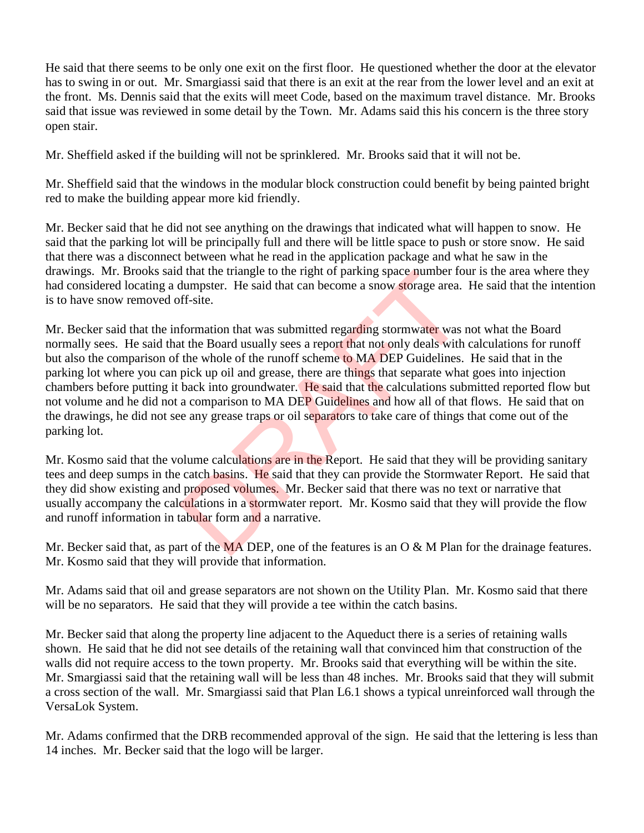He said that there seems to be only one exit on the first floor. He questioned whether the door at the elevator has to swing in or out. Mr. Smargiassi said that there is an exit at the rear from the lower level and an exit at the front. Ms. Dennis said that the exits will meet Code, based on the maximum travel distance. Mr. Brooks said that issue was reviewed in some detail by the Town. Mr. Adams said this his concern is the three story open stair.

Mr. Sheffield asked if the building will not be sprinklered. Mr. Brooks said that it will not be.

Mr. Sheffield said that the windows in the modular block construction could benefit by being painted bright red to make the building appear more kid friendly.

Mr. Becker said that he did not see anything on the drawings that indicated what will happen to snow. He said that the parking lot will be principally full and there will be little space to push or store snow. He said that there was a disconnect between what he read in the application package and what he saw in the drawings. Mr. Brooks said that the triangle to the right of parking space number four is the area where they had considered locating a dumpster. He said that can become a snow storage area. He said that the intention is to have snow removed off-site.

Mr. Becker said that the information that was submitted regarding stormwater was not what the Board normally sees. He said that the Board usually sees a report that not only deals with calculations for runoff but also the comparison of the whole of the runoff scheme to MA DEP Guidelines. He said that in the parking lot where you can pick up oil and grease, there are things that separate what goes into injection chambers before putting it back into groundwater. He said that the calculations submitted reported flow but not volume and he did not a comparison to MA DEP Guidelines and how all of that flows. He said that on the drawings, he did not see any grease traps or oil separators to take care of things that come out of the parking lot. I that the triangle to the right of parking space number to<br>dumpster. He said that can become a snow storage area.<br>ff-site.<br>formation that was submitted regarding stormwater was<br>the whole of the rundf scheme to MA DEP Guid

Mr. Kosmo said that the volume calculations are in the Report. He said that they will be providing sanitary tees and deep sumps in the catch basins. He said that they can provide the Stormwater Report. He said that they did show existing and proposed volumes. Mr. Becker said that there was no text or narrative that usually accompany the calculations in a stormwater report. Mr. Kosmo said that they will provide the flow and runoff information in tabular form and a narrative.

Mr. Becker said that, as part of the  $\overline{MA}$  DEP, one of the features is an O & M Plan for the drainage features. Mr. Kosmo said that they will provide that information.

Mr. Adams said that oil and grease separators are not shown on the Utility Plan. Mr. Kosmo said that there will be no separators. He said that they will provide a tee within the catch basins.

Mr. Becker said that along the property line adjacent to the Aqueduct there is a series of retaining walls shown. He said that he did not see details of the retaining wall that convinced him that construction of the walls did not require access to the town property. Mr. Brooks said that everything will be within the site. Mr. Smargiassi said that the retaining wall will be less than 48 inches. Mr. Brooks said that they will submit a cross section of the wall. Mr. Smargiassi said that Plan L6.1 shows a typical unreinforced wall through the VersaLok System.

Mr. Adams confirmed that the DRB recommended approval of the sign. He said that the lettering is less than 14 inches. Mr. Becker said that the logo will be larger.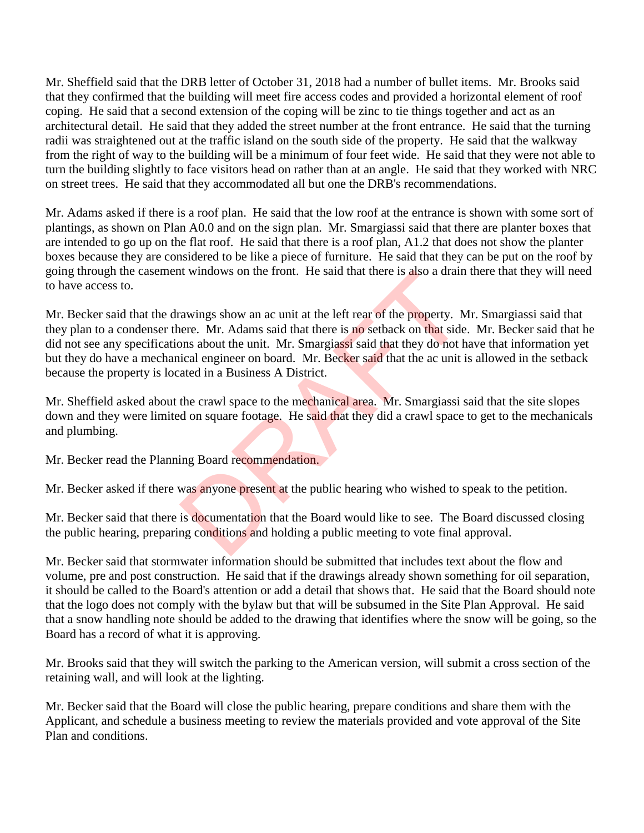Mr. Sheffield said that the DRB letter of October 31, 2018 had a number of bullet items. Mr. Brooks said that they confirmed that the building will meet fire access codes and provided a horizontal element of roof coping. He said that a second extension of the coping will be zinc to tie things together and act as an architectural detail. He said that they added the street number at the front entrance. He said that the turning radii was straightened out at the traffic island on the south side of the property. He said that the walkway from the right of way to the building will be a minimum of four feet wide. He said that they were not able to turn the building slightly to face visitors head on rather than at an angle. He said that they worked with NRC on street trees. He said that they accommodated all but one the DRB's recommendations.

Mr. Adams asked if there is a roof plan. He said that the low roof at the entrance is shown with some sort of plantings, as shown on Plan A0.0 and on the sign plan. Mr. Smargiassi said that there are planter boxes that are intended to go up on the flat roof. He said that there is a roof plan, A1.2 that does not show the planter boxes because they are considered to be like a piece of furniture. He said that they can be put on the roof by going through the casement windows on the front. He said that there is also a drain there that they will need to have access to.

Mr. Becker said that the drawings show an ac unit at the left rear of the property. Mr. Smargiassi said that they plan to a condenser there. Mr. Adams said that there is no setback on that side. Mr. Becker said that he did not see any specifications about the unit. Mr. Smargiassi said that they do not have that information yet but they do have a mechanical engineer on board. Mr. Becker said that the ac unit is allowed in the setback because the property is located in a Business A District. It windows on the front. He said that there is also a drain<br>awings show an ac unit at the left rear of the property. Nere. Mr. Adams said that there is no setback on that side<br>ons about the unit. Mr. Smargiassi said that t

Mr. Sheffield asked about the crawl space to the mechanical area. Mr. Smargiassi said that the site slopes down and they were limited on square footage. He said that they did a crawl space to get to the mechanicals and plumbing.

Mr. Becker read the Planning Board recommendation.

Mr. Becker asked if there was anyone present at the public hearing who wished to speak to the petition.

Mr. Becker said that there is documentation that the Board would like to see. The Board discussed closing the public hearing, preparing conditions and holding a public meeting to vote final approval.

Mr. Becker said that stormwater information should be submitted that includes text about the flow and volume, pre and post construction. He said that if the drawings already shown something for oil separation, it should be called to the Board's attention or add a detail that shows that. He said that the Board should note that the logo does not comply with the bylaw but that will be subsumed in the Site Plan Approval. He said that a snow handling note should be added to the drawing that identifies where the snow will be going, so the Board has a record of what it is approving.

Mr. Brooks said that they will switch the parking to the American version, will submit a cross section of the retaining wall, and will look at the lighting.

Mr. Becker said that the Board will close the public hearing, prepare conditions and share them with the Applicant, and schedule a business meeting to review the materials provided and vote approval of the Site Plan and conditions.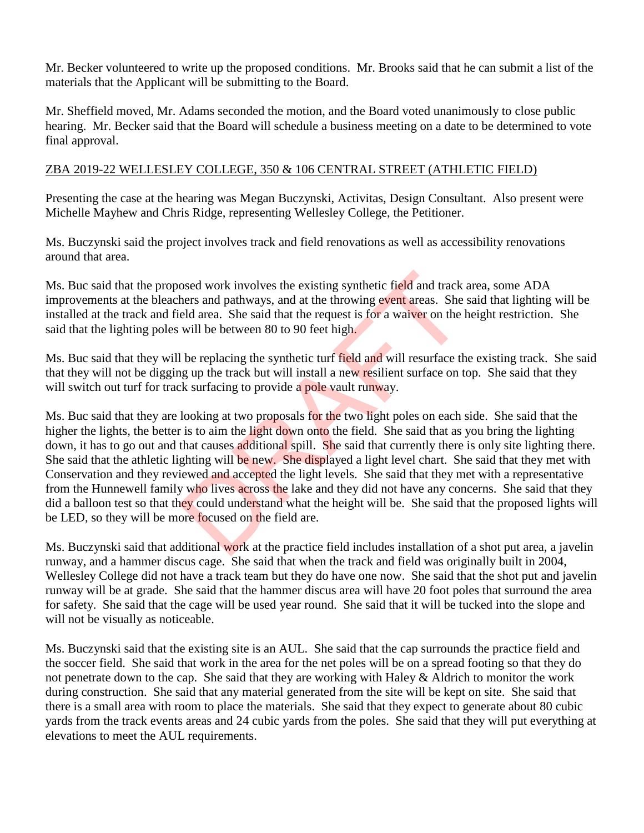Mr. Becker volunteered to write up the proposed conditions. Mr. Brooks said that he can submit a list of the materials that the Applicant will be submitting to the Board.

Mr. Sheffield moved, Mr. Adams seconded the motion, and the Board voted unanimously to close public hearing. Mr. Becker said that the Board will schedule a business meeting on a date to be determined to vote final approval.

## ZBA 2019-22 WELLESLEY COLLEGE, 350 & 106 CENTRAL STREET (ATHLETIC FIELD)

Presenting the case at the hearing was Megan Buczynski, Activitas, Design Consultant. Also present were Michelle Mayhew and Chris Ridge, representing Wellesley College, the Petitioner.

Ms. Buczynski said the project involves track and field renovations as well as accessibility renovations around that area.

Ms. Buc said that the proposed work involves the existing synthetic field and track area, some ADA improvements at the bleachers and pathways, and at the throwing event areas. She said that lighting will be installed at the track and field area. She said that the request is for a waiver on the height restriction. She said that the lighting poles will be between 80 to 90 feet high.

Ms. Buc said that they will be replacing the synthetic turf field and will resurface the existing track. She said that they will not be digging up the track but will install a new resilient surface on top. She said that they will switch out turf for track surfacing to provide a pole vault runway.

Ms. Buc said that they are looking at two proposals for the two light poles on each side. She said that the higher the lights, the better is to aim the light down onto the field. She said that as you bring the lighting down, it has to go out and that causes additional spill. She said that currently there is only site lighting there. She said that the athletic lighting will be new. She displayed a light level chart. She said that they met with Conservation and they reviewed and accepted the light levels. She said that they met with a representative from the Hunnewell family who lives across the lake and they did not have any concerns. She said that they did a balloon test so that they could understand what the height will be. She said that the proposed lights will be LED, so they will be more focused on the field are. osed work involves the existing synthetic field and track<br>hers and pathways, and at the throwing event areas. She<br>eld area. She said that the request is for a waiver on the l<br>will be between 80 to 90 feet high.<br>I be replac

Ms. Buczynski said that additional work at the practice field includes installation of a shot put area, a javelin runway, and a hammer discus cage. She said that when the track and field was originally built in 2004, Wellesley College did not have a track team but they do have one now. She said that the shot put and javelin runway will be at grade. She said that the hammer discus area will have 20 foot poles that surround the area for safety. She said that the cage will be used year round. She said that it will be tucked into the slope and will not be visually as noticeable.

Ms. Buczynski said that the existing site is an AUL. She said that the cap surrounds the practice field and the soccer field. She said that work in the area for the net poles will be on a spread footing so that they do not penetrate down to the cap. She said that they are working with Haley  $&$  Aldrich to monitor the work during construction. She said that any material generated from the site will be kept on site. She said that there is a small area with room to place the materials. She said that they expect to generate about 80 cubic yards from the track events areas and 24 cubic yards from the poles. She said that they will put everything at elevations to meet the AUL requirements.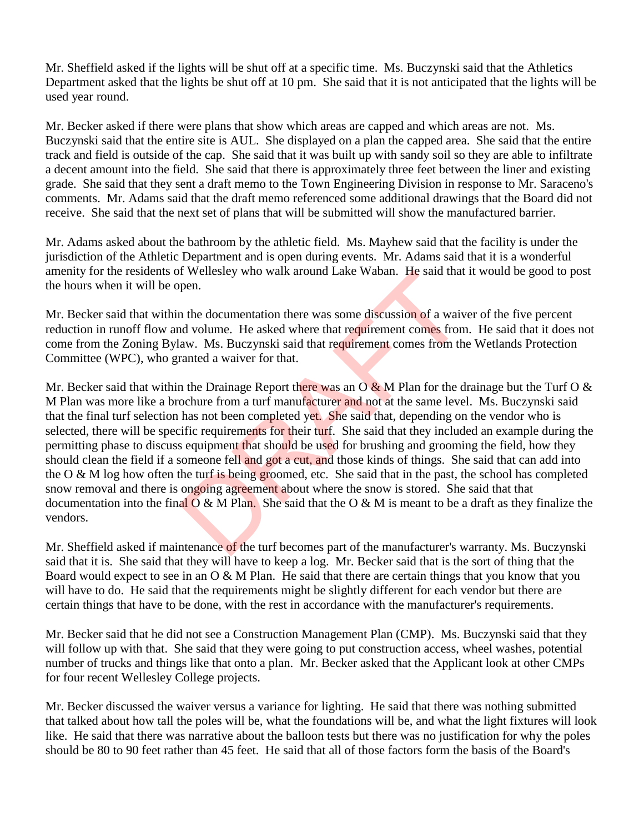Mr. Sheffield asked if the lights will be shut off at a specific time. Ms. Buczynski said that the Athletics Department asked that the lights be shut off at 10 pm. She said that it is not anticipated that the lights will be used year round.

Mr. Becker asked if there were plans that show which areas are capped and which areas are not. Ms. Buczynski said that the entire site is AUL. She displayed on a plan the capped area. She said that the entire track and field is outside of the cap. She said that it was built up with sandy soil so they are able to infiltrate a decent amount into the field. She said that there is approximately three feet between the liner and existing grade. She said that they sent a draft memo to the Town Engineering Division in response to Mr. Saraceno's comments. Mr. Adams said that the draft memo referenced some additional drawings that the Board did not receive. She said that the next set of plans that will be submitted will show the manufactured barrier.

Mr. Adams asked about the bathroom by the athletic field. Ms. Mayhew said that the facility is under the jurisdiction of the Athletic Department and is open during events. Mr. Adams said that it is a wonderful amenity for the residents of Wellesley who walk around Lake Waban. He said that it would be good to post the hours when it will be open.

Mr. Becker said that within the documentation there was some discussion of a waiver of the five percent reduction in runoff flow and volume. He asked where that requirement comes from. He said that it does not come from the Zoning Bylaw. Ms. Buczynski said that requirement comes from the Wetlands Protection Committee (WPC), who granted a waiver for that.

Mr. Becker said that within the Drainage Report there was an  $\overline{O} \& M$  Plan for the drainage but the Turf  $O \& M$ M Plan was more like a brochure from a turf manufacturer and not at the same level. Ms. Buczynski said that the final turf selection has not been completed yet. She said that, depending on the vendor who is selected, there will be specific requirements for their turf. She said that they included an example during the permitting phase to discuss equipment that should be used for brushing and grooming the field, how they should clean the field if a someone fell and got a cut, and those kinds of things. She said that can add into the O & M log how often the turf is being groomed, etc. She said that in the past, the school has completed snow removal and there is ongoing agreement about where the snow is stored. She said that that documentation into the final  $O \& M$  Plan. She said that the  $O \& M$  is meant to be a draft as they finalize the vendors. If wellesley who walk around Lake Waban. He said that<br>pen.<br>a the documentation there was some discussion of a waiv<br>d volume. He asked where that requirement comes from<br>aw. Ms. Buczynski said that requirement comes from th

Mr. Sheffield asked if maintenance of the turf becomes part of the manufacturer's warranty. Ms. Buczynski said that it is. She said that they will have to keep a log. Mr. Becker said that is the sort of thing that the Board would expect to see in an  $O & M$  Plan. He said that there are certain things that you know that you will have to do. He said that the requirements might be slightly different for each vendor but there are certain things that have to be done, with the rest in accordance with the manufacturer's requirements.

Mr. Becker said that he did not see a Construction Management Plan (CMP). Ms. Buczynski said that they will follow up with that. She said that they were going to put construction access, wheel washes, potential number of trucks and things like that onto a plan. Mr. Becker asked that the Applicant look at other CMPs for four recent Wellesley College projects.

Mr. Becker discussed the waiver versus a variance for lighting. He said that there was nothing submitted that talked about how tall the poles will be, what the foundations will be, and what the light fixtures will look like. He said that there was narrative about the balloon tests but there was no justification for why the poles should be 80 to 90 feet rather than 45 feet. He said that all of those factors form the basis of the Board's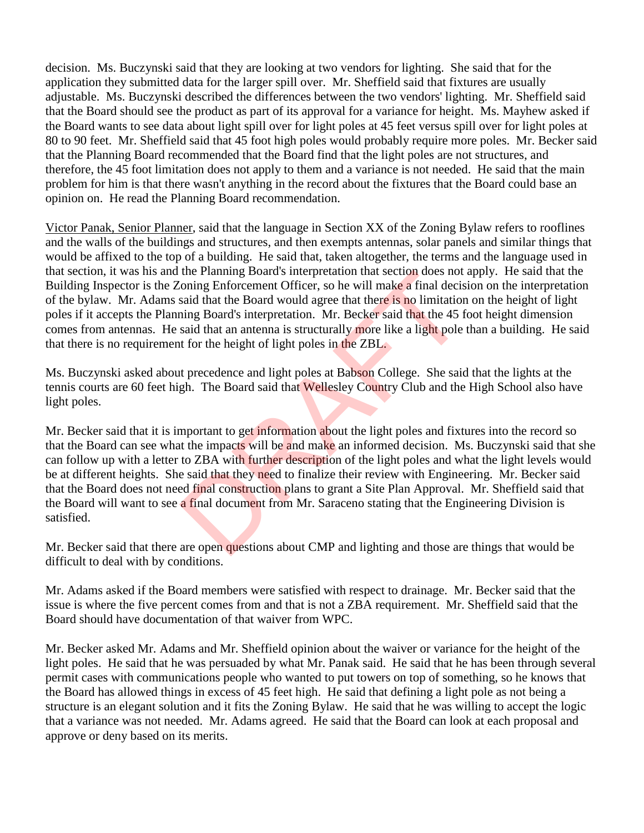decision. Ms. Buczynski said that they are looking at two vendors for lighting. She said that for the application they submitted data for the larger spill over. Mr. Sheffield said that fixtures are usually adjustable. Ms. Buczynski described the differences between the two vendors' lighting. Mr. Sheffield said that the Board should see the product as part of its approval for a variance for height. Ms. Mayhew asked if the Board wants to see data about light spill over for light poles at 45 feet versus spill over for light poles at 80 to 90 feet. Mr. Sheffield said that 45 foot high poles would probably require more poles. Mr. Becker said that the Planning Board recommended that the Board find that the light poles are not structures, and therefore, the 45 foot limitation does not apply to them and a variance is not needed. He said that the main problem for him is that there wasn't anything in the record about the fixtures that the Board could base an opinion on. He read the Planning Board recommendation.

Victor Panak, Senior Planner, said that the language in Section XX of the Zoning Bylaw refers to rooflines and the walls of the buildings and structures, and then exempts antennas, solar panels and similar things that would be affixed to the top of a building. He said that, taken altogether, the terms and the language used in that section, it was his and the Planning Board's interpretation that section does not apply. He said that the Building Inspector is the Zoning Enforcement Officer, so he will make a final decision on the interpretation of the bylaw. Mr. Adams said that the Board would agree that there is no limitation on the height of light poles if it accepts the Planning Board's interpretation. Mr. Becker said that the 45 foot height dimension comes from antennas. He said that an antenna is structurally more like a light pole than a building. He said that there is no requirement for the height of light poles in the ZBL.

Ms. Buczynski asked about precedence and light poles at Babson College. She said that the lights at the tennis courts are 60 feet high. The Board said that Wellesley Country Club and the High School also have light poles.

Mr. Becker said that it is important to get information about the light poles and fixtures into the record so that the Board can see what the impacts will be and make an informed decision. Ms. Buczynski said that she can follow up with a letter to ZBA with further description of the light poles and what the light levels would be at different heights. She said that they need to finalize their review with Engineering. Mr. Becker said that the Board does not need final construction plans to grant a Site Plan Approval. Mr. Sheffield said that the Board will want to see a final document from Mr. Saraceno stating that the Engineering Division is satisfied. the Planning Board's interpretation that section does not<br>
soloning Enforcement Officer, so he will make a final decis<br>
said that the Board would agree that there is no limitation<br>
said that an antenna is structurally more

Mr. Becker said that there are open questions about CMP and lighting and those are things that would be difficult to deal with by conditions.

Mr. Adams asked if the Board members were satisfied with respect to drainage. Mr. Becker said that the issue is where the five percent comes from and that is not a ZBA requirement. Mr. Sheffield said that the Board should have documentation of that waiver from WPC.

Mr. Becker asked Mr. Adams and Mr. Sheffield opinion about the waiver or variance for the height of the light poles. He said that he was persuaded by what Mr. Panak said. He said that he has been through several permit cases with communications people who wanted to put towers on top of something, so he knows that the Board has allowed things in excess of 45 feet high. He said that defining a light pole as not being a structure is an elegant solution and it fits the Zoning Bylaw. He said that he was willing to accept the logic that a variance was not needed. Mr. Adams agreed. He said that the Board can look at each proposal and approve or deny based on its merits.